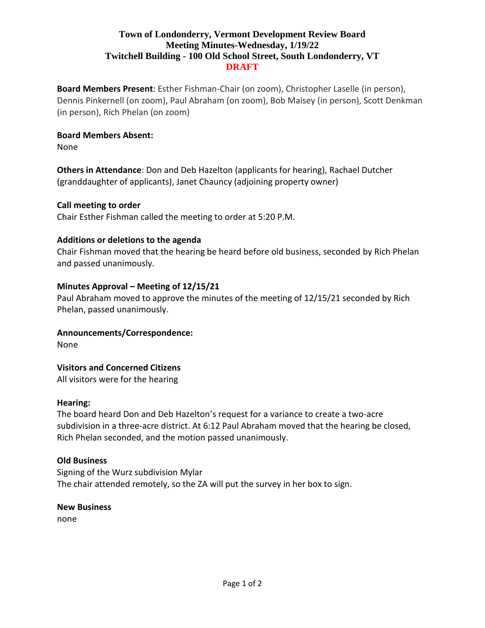# **Town of Londonderry, Vermont Development Review Board Meeting Minutes-Wednesday, 1/19/22 Twitchell Building - 100 Old School Street, South Londonderry, VT DRAFT**

**Board Members Present**: Esther Fishman-Chair (on zoom), Christopher Laselle (in person), Dennis Pinkernell (on zoom), Paul Abraham (on zoom), Bob Maisey (in person), Scott Denkman (in person), Rich Phelan (on zoom)

## **Board Members Absent:**

None

**Others in Attendance**: Don and Deb Hazelton (applicants for hearing), Rachael Dutcher (granddaughter of applicants), Janet Chauncy (adjoining property owner)

## **Call meeting to order**

Chair Esther Fishman called the meeting to order at 5:20 P.M.

## **Additions or deletions to the agenda**

Chair Fishman moved that the hearing be heard before old business, seconded by Rich Phelan and passed unanimously.

## **Minutes Approval – Meeting of 12/15/21**

Paul Abraham moved to approve the minutes of the meeting of 12/15/21 seconded by Rich Phelan, passed unanimously.

#### **Announcements/Correspondence:**

None

# **Visitors and Concerned Citizens**

All visitors were for the hearing

#### **Hearing:**

The board heard Don and Deb Hazelton's request for a variance to create a two-acre subdivision in a three-acre district. At 6:12 Paul Abraham moved that the hearing be closed, Rich Phelan seconded, and the motion passed unanimously.

#### **Old Business**

Signing of the Wurz subdivision Mylar The chair attended remotely, so the ZA will put the survey in her box to sign.

#### **New Business**

none